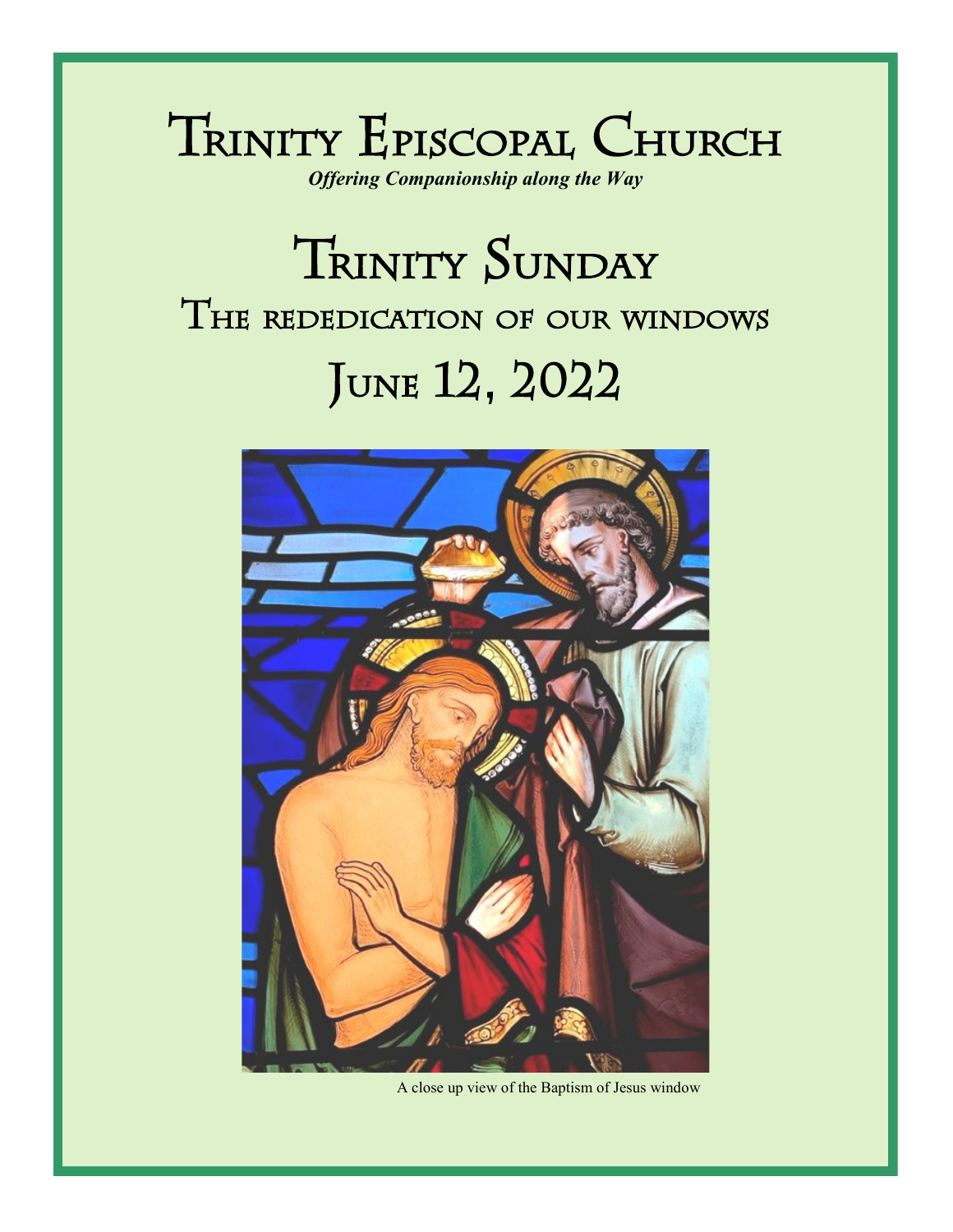# TRINITY EPISCOPAL CHURCH

*Offering Companionship along the Way*

## TRINITY SUNDAY THE REDEDICATION OF OUR WINDOWS JUNE 12, 2022



A close up view of the Baptism of Jesus window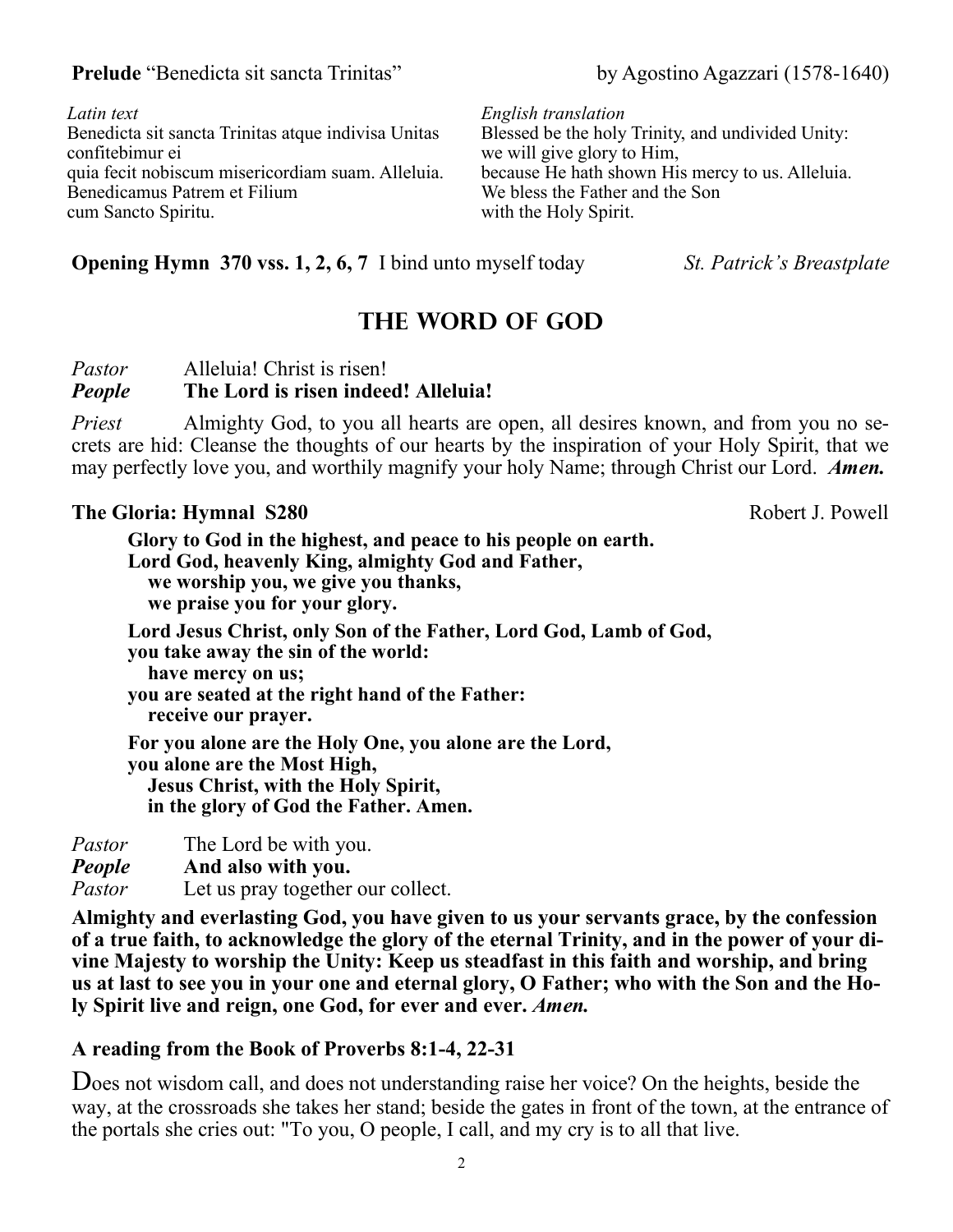#### **Prelude** "Benedicta sit sancta Trinitas" by Agostino Agazzari (1578-1640)

*Latin text* Benedicta sit sancta Trinitas atque indivisa Unitas confitebimur ei quia fecit nobiscum misericordiam suam. Alleluia. Benedicamus Patrem et Filium cum Sancto Spiritu.

*English translation* Blessed be the holy Trinity, and undivided Unity: we will give glory to Him, because He hath shown His mercy to us. Alleluia. We bless the Father and the Son with the Holy Spirit.

**Opening Hymn 370 vss. 1, 2, 6, 7** I bind unto myself today *St. Patrick's Breastplate*

### **The Word of God**

#### *Pastor* Alleluia! Christ is risen! *People* **The Lord is risen indeed! Alleluia!**

*Priest* Almighty God, to you all hearts are open, all desires known, and from you no secrets are hid: Cleanse the thoughts of our hearts by the inspiration of your Holy Spirit, that we may perfectly love you, and worthily magnify your holy Name; through Christ our Lord. *Amen.*

#### **The Gloria: Hymnal S280** Robert J. Powell

| Glory to God in the highest, and peace to his people on earth.<br>Lord God, heavenly King, almighty God and Father,<br>we worship you, we give you thanks,<br>we praise you for your glory.             |
|---------------------------------------------------------------------------------------------------------------------------------------------------------------------------------------------------------|
| Lord Jesus Christ, only Son of the Father, Lord God, Lamb of God,<br>you take away the sin of the world:<br>have mercy on us;<br>you are seated at the right hand of the Father:<br>receive our prayer. |
| For you alone are the Holy One, you alone are the Lord,<br>you alone are the Most High,<br><b>Jesus Christ, with the Holy Spirit,</b><br>in the glory of God the Father. Amen.                          |
| The Lord be with you.                                                                                                                                                                                   |

*Pastor People* **And also with you.**

*Pastor* Let us pray together our collect.

**Almighty and everlasting God, you have given to us your servants grace, by the confession of a true faith, to acknowledge the glory of the eternal Trinity, and in the power of your divine Majesty to worship the Unity: Keep us steadfast in this faith and worship, and bring us at last to see you in your one and eternal glory, O Father; who with the Son and the Holy Spirit live and reign, one God, for ever and ever.** *Amen.*

#### **A reading from the Book of Proverbs 8:1-4, 22-31**

Does not wisdom call, and does not understanding raise her voice? On the heights, beside the way, at the crossroads she takes her stand; beside the gates in front of the town, at the entrance of the portals she cries out: "To you, O people, I call, and my cry is to all that live.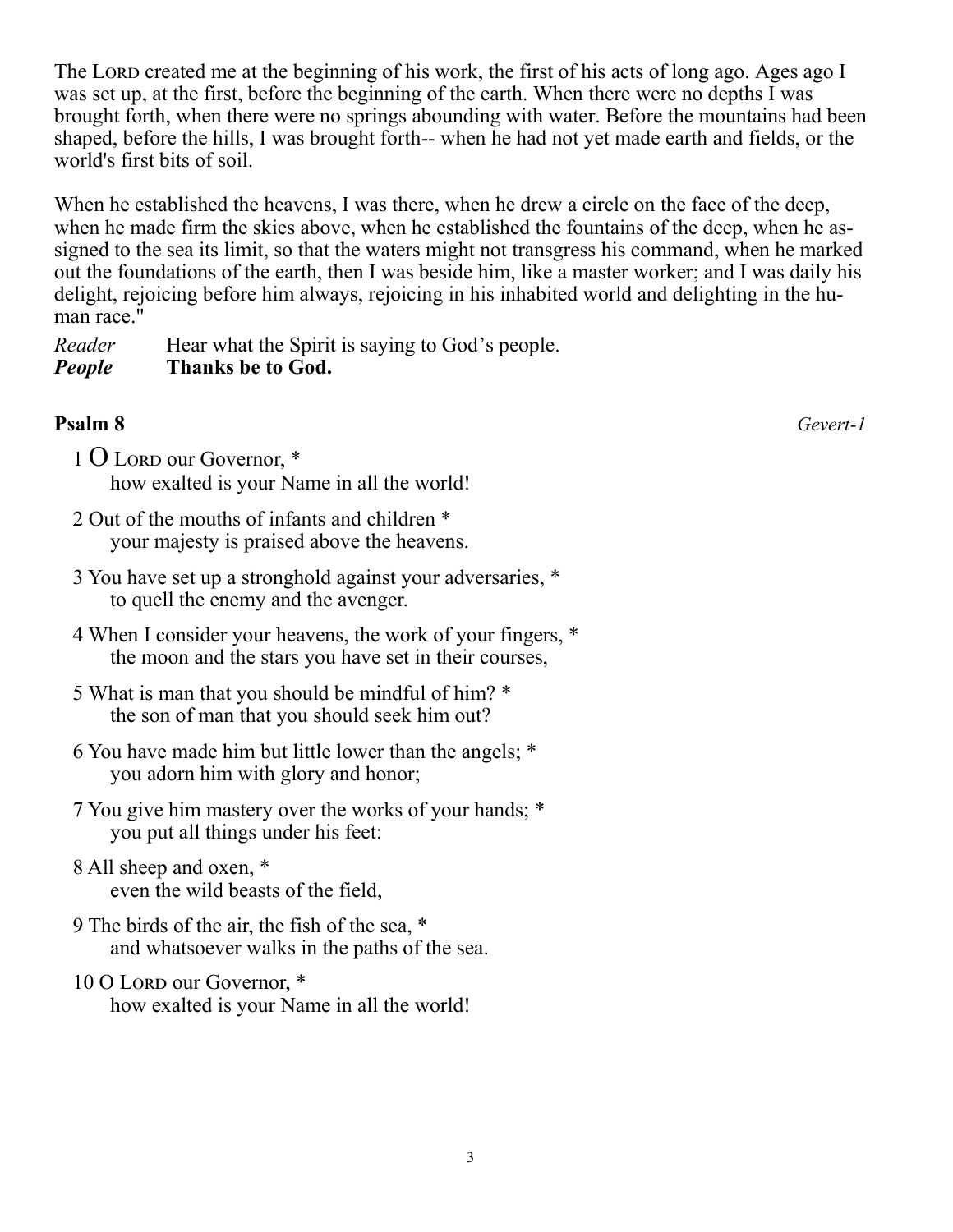The Lord created me at the beginning of his work, the first of his acts of long ago. Ages ago I was set up, at the first, before the beginning of the earth. When there were no depths I was brought forth, when there were no springs abounding with water. Before the mountains had been shaped, before the hills, I was brought forth-- when he had not yet made earth and fields, or the world's first bits of soil.

When he established the heavens, I was there, when he drew a circle on the face of the deep, when he made firm the skies above, when he established the fountains of the deep, when he assigned to the sea its limit, so that the waters might not transgress his command, when he marked out the foundations of the earth, then I was beside him, like a master worker; and I was daily his delight, rejoicing before him always, rejoicing in his inhabited world and delighting in the human race."

*Reader* Hear what the Spirit is saying to God's people. *People* **Thanks be to God.**

#### **Psalm 8** *Gevert-1*

- 1 O Lord our Governor,  $*$ how exalted is your Name in all the world!
- 2 Out of the mouths of infants and children \* your majesty is praised above the heavens.
- 3 You have set up a stronghold against your adversaries, \* to quell the enemy and the avenger.
- 4 When I consider your heavens, the work of your fingers, \* the moon and the stars you have set in their courses,
- 5 What is man that you should be mindful of him? \* the son of man that you should seek him out?
- 6 You have made him but little lower than the angels; \* you adorn him with glory and honor;
- 7 You give him mastery over the works of your hands; \* you put all things under his feet:
- 8 All sheep and oxen, \* even the wild beasts of the field,
- 9 The birds of the air, the fish of the sea, \* and whatsoever walks in the paths of the sea.
- 10 O Lord our Governor,  $*$ how exalted is your Name in all the world!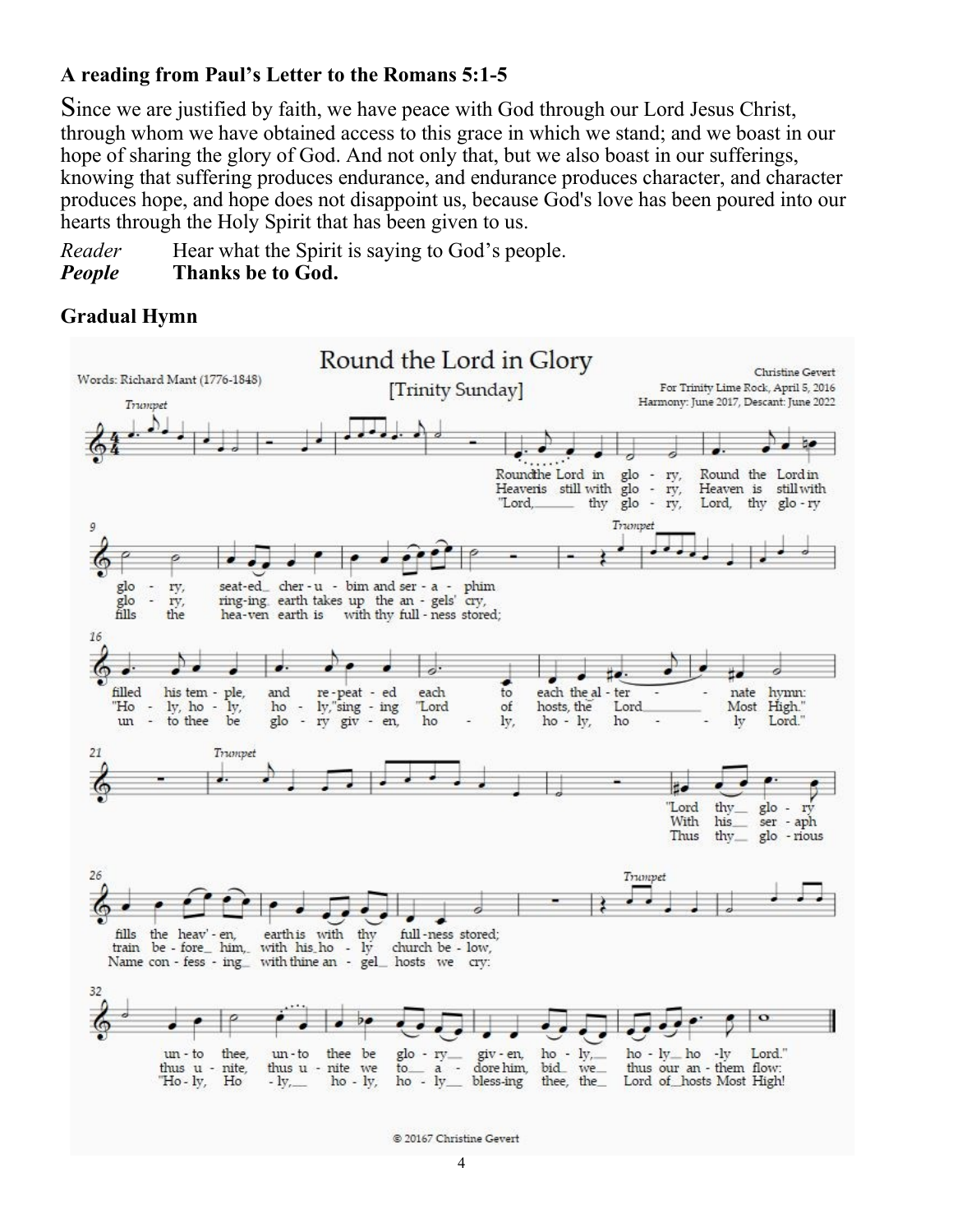#### **A reading from Paul's Letter to the Romans 5:1-5**

Since we are justified by faith, we have peace with God through our Lord Jesus Christ, through whom we have obtained access to this grace in which we stand; and we boast in our hope of sharing the glory of God. And not only that, but we also boast in our sufferings, knowing that suffering produces endurance, and endurance produces character, and character produces hope, and hope does not disappoint us, because God's love has been poured into our hearts through the Holy Spirit that has been given to us.

*Reader* Hear what the Spirit is saying to God's people. *People* **Thanks be to God.**

#### **Gradual Hymn**



@ 20167 Christine Gevert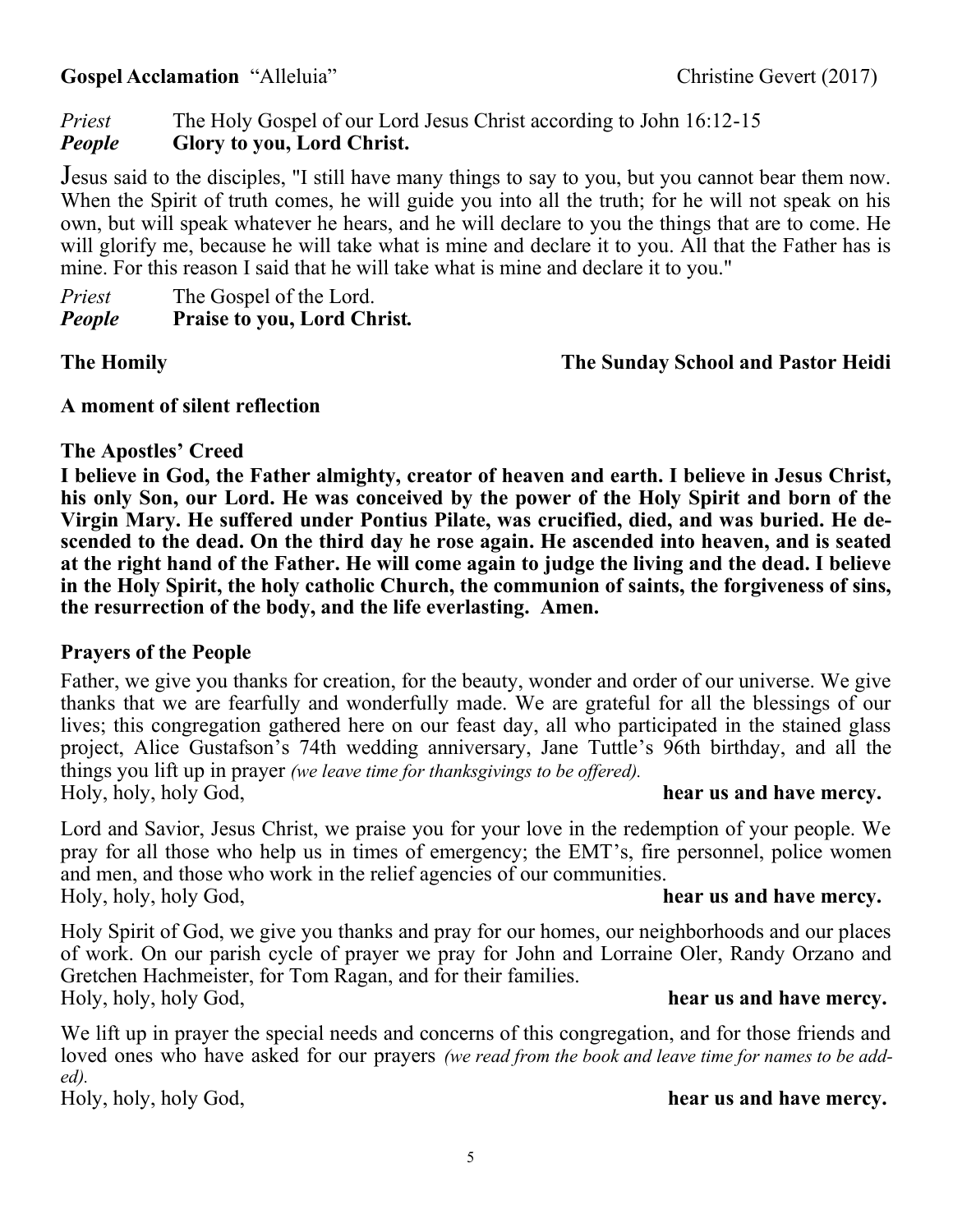#### *Priest* The Holy Gospel of our Lord Jesus Christ according to John 16:12-15 *People* **Glory to you, Lord Christ.**

Jesus said to the disciples, "I still have many things to say to you, but you cannot bear them now. When the Spirit of truth comes, he will guide you into all the truth; for he will not speak on his own, but will speak whatever he hears, and he will declare to you the things that are to come. He will glorify me, because he will take what is mine and declare it to you. All that the Father has is mine. For this reason I said that he will take what is mine and declare it to you."

*Priest* The Gospel of the Lord. *People* **Praise to you, Lord Christ***.*

**The Homily The Sunday School and Pastor Heidi**

#### **A moment of silent reflection**

**The Apostles' Creed**

**I believe in God, the Father almighty, creator of heaven and earth. I believe in Jesus Christ, his only Son, our Lord. He was conceived by the power of the Holy Spirit and born of the Virgin Mary. He suffered under Pontius Pilate, was crucified, died, and was buried. He descended to the dead. On the third day he rose again. He ascended into heaven, and is seated at the right hand of the Father. He will come again to judge the living and the dead. I believe in the Holy Spirit, the holy catholic Church, the communion of saints, the forgiveness of sins, the resurrection of the body, and the life everlasting. Amen.**

#### **Prayers of the People**

Father, we give you thanks for creation, for the beauty, wonder and order of our universe. We give thanks that we are fearfully and wonderfully made. We are grateful for all the blessings of our lives; this congregation gathered here on our feast day, all who participated in the stained glass project, Alice Gustafson's 74th wedding anniversary, Jane Tuttle's 96th birthday, and all the things you lift up in prayer *(we leave time for thanksgivings to be offered).* Holy, holy, holy God, **hear us and have mercy.**

Lord and Savior, Jesus Christ, we praise you for your love in the redemption of your people. We pray for all those who help us in times of emergency; the EMT's, fire personnel, police women and men, and those who work in the relief agencies of our communities. Holy, holy, holy God, **hear us and have mercy.**

Holy Spirit of God, we give you thanks and pray for our homes, our neighborhoods and our places of work. On our parish cycle of prayer we pray for John and Lorraine Oler, Randy Orzano and Gretchen Hachmeister, for Tom Ragan, and for their families. Holy, holy, holy God, **hear us and have mercy.**

We lift up in prayer the special needs and concerns of this congregation, and for those friends and loved ones who have asked for our prayers *(we read from the book and leave time for names to be added).*

#### Holy, holy, holy God, **hear us and have mercy.**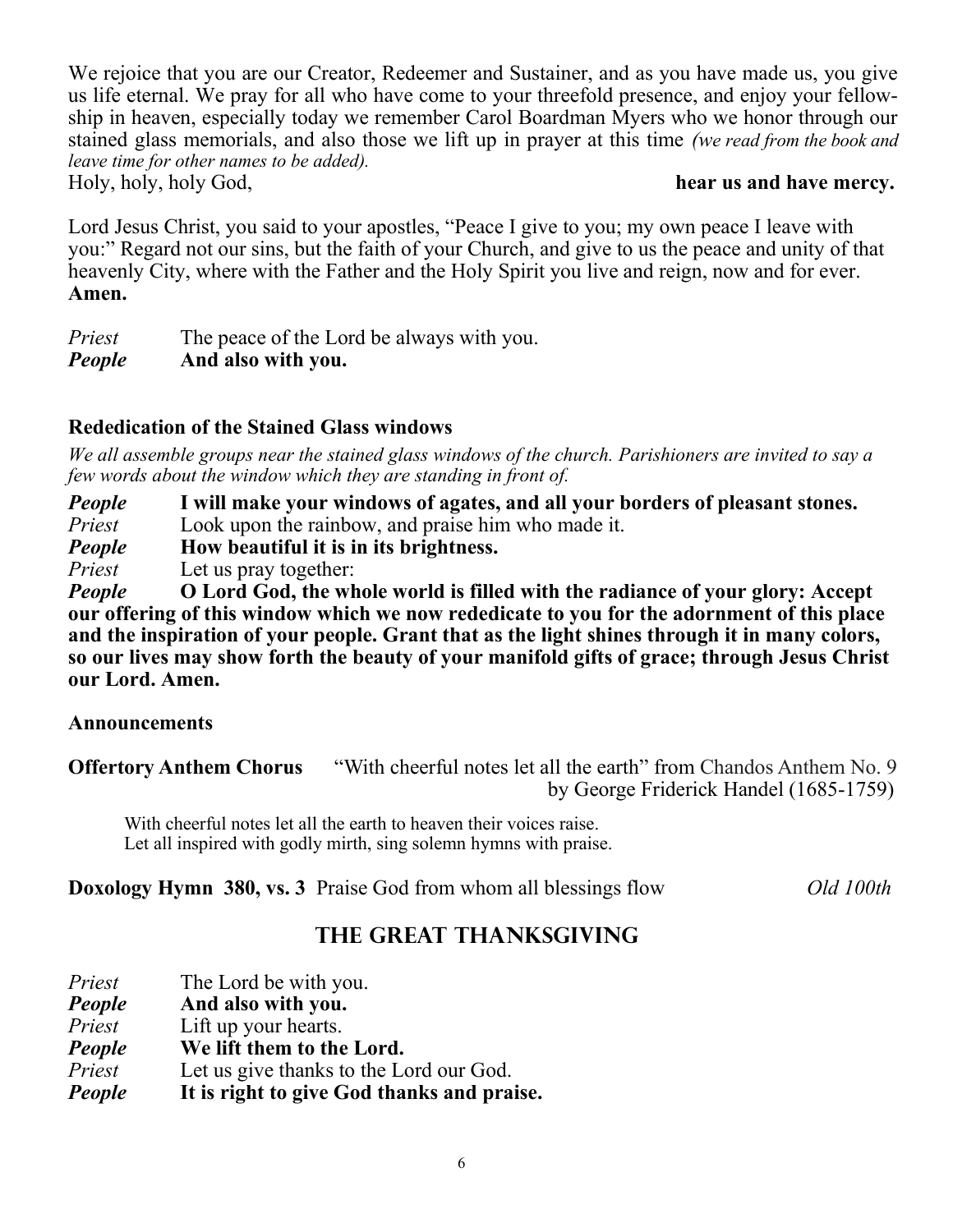We rejoice that you are our Creator, Redeemer and Sustainer, and as you have made us, you give us life eternal. We pray for all who have come to your threefold presence, and enjoy your fellowship in heaven, especially today we remember Carol Boardman Myers who we honor through our stained glass memorials, and also those we lift up in prayer at this time *(we read from the book and leave time for other names to be added).* Holy, holy, holy God, **hear us and have mercy.**

Lord Jesus Christ, you said to your apostles, "Peace I give to you; my own peace I leave with you:" Regard not our sins, but the faith of your Church, and give to us the peace and unity of that heavenly City, where with the Father and the Holy Spirit you live and reign, now and for ever. **Amen.**

*Priest* The peace of the Lord be always with you. *People* **And also with you.**

#### **Rededication of the Stained Glass windows**

*We all assemble groups near the stained glass windows of the church. Parishioners are invited to say a few words about the window which they are standing in front of.*

*People* **I will make your windows of agates, and all your borders of pleasant stones.**

*Priest* Look upon the rainbow, and praise him who made it.

*People* **How beautiful it is in its brightness.**

*Priest* Let us pray together:

*People* **O Lord God, the whole world is filled with the radiance of your glory: Accept our offering of this window which we now rededicate to you for the adornment of this place and the inspiration of your people. Grant that as the light shines through it in many colors, so our lives may show forth the beauty of your manifold gifts of grace; through Jesus Christ our Lord. Amen.**

#### **Announcements**

**Offertory Anthem Chorus** "With cheerful notes let all the earth" from Chandos Anthem No. 9 by George Friderick Handel (1685-1759)

With cheerful notes let all the earth to heaven their voices raise. Let all inspired with godly mirth, sing solemn hymns with praise.

**Doxology Hymn 380, vs. 3** Praise God from whom all blessings flow *Old 100th*

#### **The Great Thanksgiving**

| Priest | The Lord be with you.                      |
|--------|--------------------------------------------|
| People | And also with you.                         |
| Priest | Lift up your hearts.                       |
| People | We lift them to the Lord.                  |
| Priest | Let us give thanks to the Lord our God.    |
| People | It is right to give God thanks and praise. |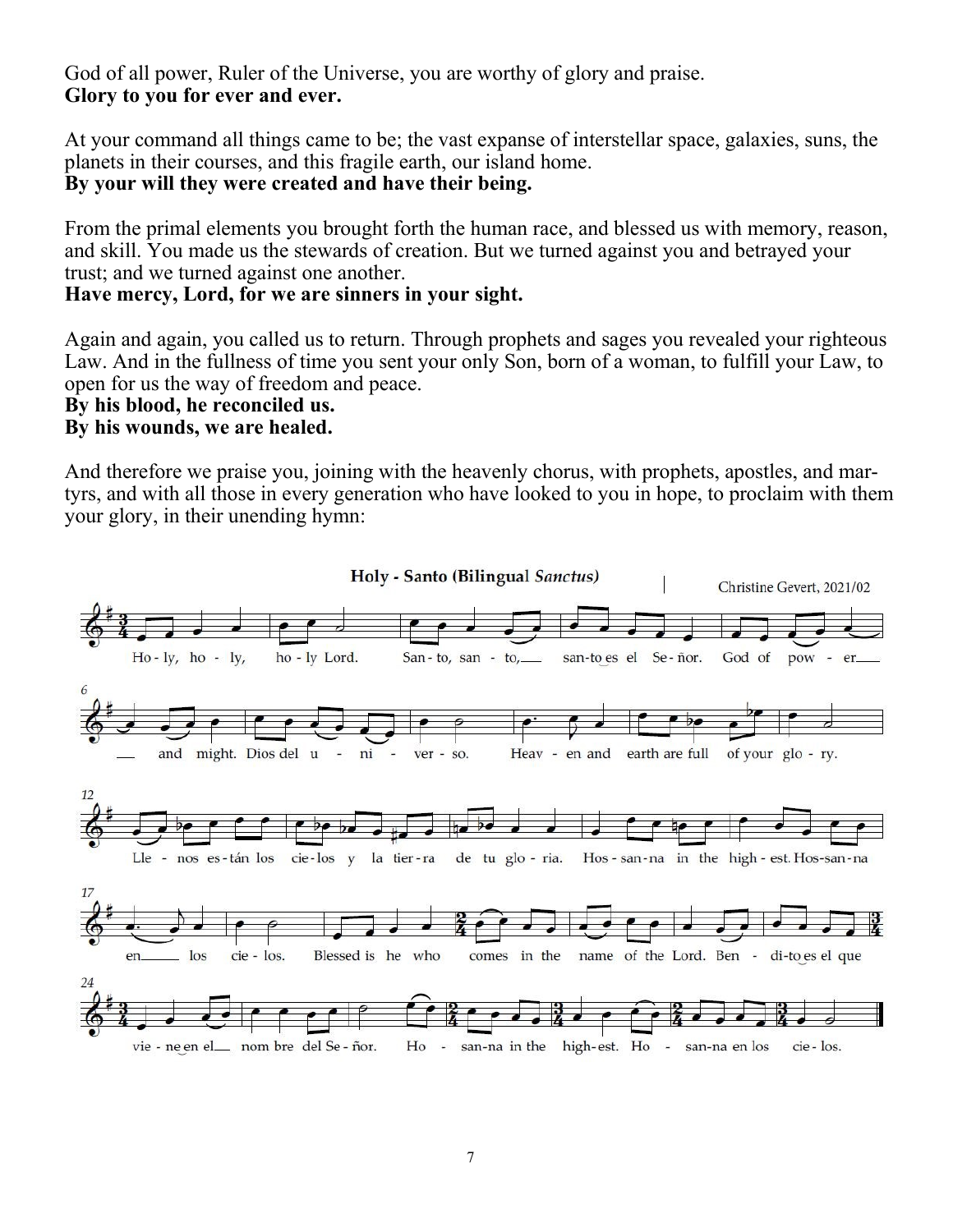God of all power, Ruler of the Universe, you are worthy of glory and praise. **Glory to you for ever and ever.**

At your command all things came to be; the vast expanse of interstellar space, galaxies, suns, the planets in their courses, and this fragile earth, our island home. **By your will they were created and have their being.**

From the primal elements you brought forth the human race, and blessed us with memory, reason, and skill. You made us the stewards of creation. But we turned against you and betrayed your trust; and we turned against one another.

#### **Have mercy, Lord, for we are sinners in your sight.**

Again and again, you called us to return. Through prophets and sages you revealed your righteous Law. And in the fullness of time you sent your only Son, born of a woman, to fulfill your Law, to open for us the way of freedom and peace.

#### **By his blood, he reconciled us.**

#### **By his wounds, we are healed.**

And therefore we praise you, joining with the heavenly chorus, with prophets, apostles, and martyrs, and with all those in every generation who have looked to you in hope, to proclaim with them your glory, in their unending hymn:

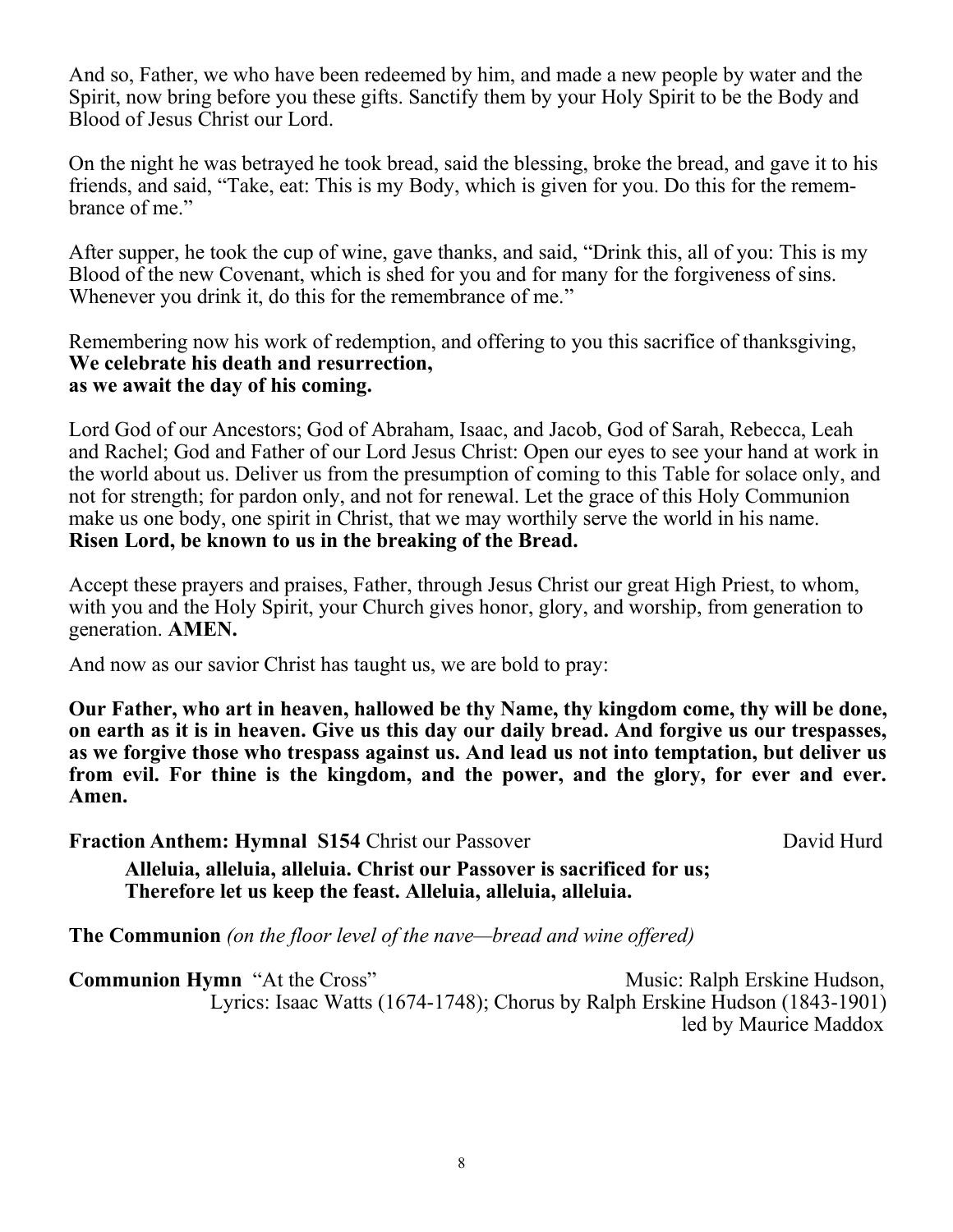And so, Father, we who have been redeemed by him, and made a new people by water and the Spirit, now bring before you these gifts. Sanctify them by your Holy Spirit to be the Body and Blood of Jesus Christ our Lord.

On the night he was betrayed he took bread, said the blessing, broke the bread, and gave it to his friends, and said, "Take, eat: This is my Body, which is given for you. Do this for the remembrance of me."

After supper, he took the cup of wine, gave thanks, and said, "Drink this, all of you: This is my Blood of the new Covenant, which is shed for you and for many for the forgiveness of sins. Whenever you drink it, do this for the remembrance of me."

Remembering now his work of redemption, and offering to you this sacrifice of thanksgiving, **We celebrate his death and resurrection, as we await the day of his coming.**

Lord God of our Ancestors; God of Abraham, Isaac, and Jacob, God of Sarah, Rebecca, Leah and Rachel; God and Father of our Lord Jesus Christ: Open our eyes to see your hand at work in the world about us. Deliver us from the presumption of coming to this Table for solace only, and not for strength; for pardon only, and not for renewal. Let the grace of this Holy Communion make us one body, one spirit in Christ, that we may worthily serve the world in his name. **Risen Lord, be known to us in the breaking of the Bread.**

Accept these prayers and praises, Father, through Jesus Christ our great High Priest, to whom, with you and the Holy Spirit, your Church gives honor, glory, and worship, from generation to generation. **AMEN.**

And now as our savior Christ has taught us, we are bold to pray:

**Our Father, who art in heaven, hallowed be thy Name, thy kingdom come, thy will be done, on earth as it is in heaven. Give us this day our daily bread. And forgive us our trespasses, as we forgive those who trespass against us. And lead us not into temptation, but deliver us from evil. For thine is the kingdom, and the power, and the glory, for ever and ever. Amen.**

Fraction Anthem: Hymnal S154 Christ our Passover **David Hurd Alleluia, alleluia, alleluia. Christ our Passover is sacrificed for us; Therefore let us keep the feast. Alleluia, alleluia, alleluia.** 

**The Communion** *(on the floor level of the nave—bread and wine offered)*

**Communion Hymn** "At the Cross" Music: Ralph Erskine Hudson, Lyrics: Isaac Watts (1674-1748); Chorus by Ralph Erskine Hudson (1843-1901) led by Maurice Maddox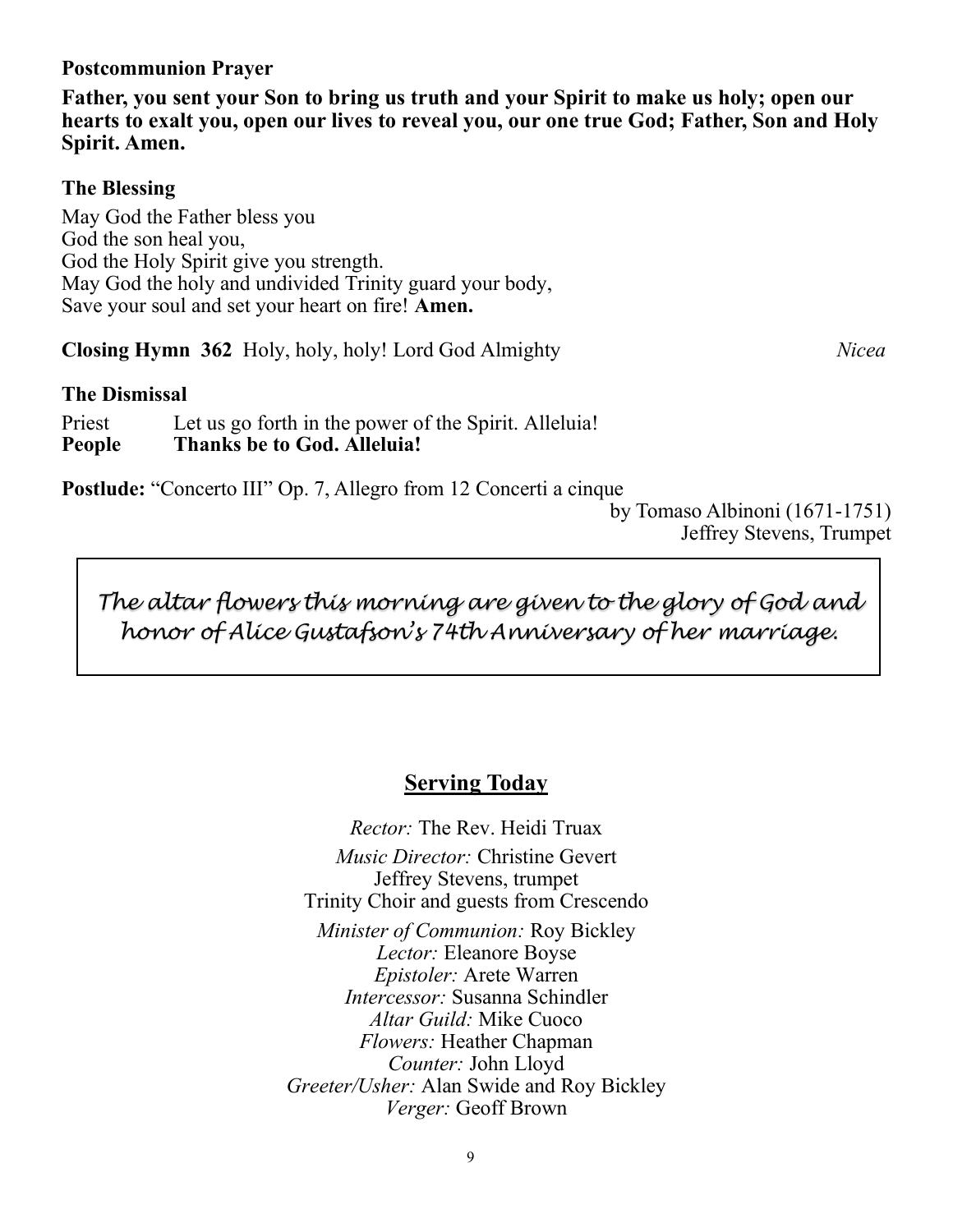#### **Postcommunion Prayer**

**Father, you sent your Son to bring us truth and your Spirit to make us holy; open our hearts to exalt you, open our lives to reveal you, our one true God; Father, Son and Holy Spirit. Amen.**

#### **The Blessing**

May God the Father bless you God the son heal you, God the Holy Spirit give you strength. May God the holy and undivided Trinity guard your body, Save your soul and set your heart on fire! **Amen.**

**Closing Hymn 362** Holy, holy, holy! Lord God Almighty *Nicea*

#### **The Dismissal**

Priest Let us go forth in the power of the Spirit. Alleluia! **People Thanks be to God. Alleluia!**

**Postlude:** "Concerto III" Op. 7, Allegro from 12 Concerti a cinque

by Tomaso Albinoni (1671-1751) Jeffrey Stevens, Trumpet

*The altar flowers this morning are given to the glory of God and honor of Alice Gustafson's 74th Anniversary of her marriage.*

#### **Serving Today**

*Rector:* The Rev. Heidi Truax *Music Director:* Christine Gevert Jeffrey Stevens, trumpet Trinity Choir and guests from Crescendo *Minister of Communion:* Roy Bickley *Lector:* Eleanore Boyse *Epistoler:* Arete Warren *Intercessor:* Susanna Schindler *Altar Guild:* Mike Cuoco *Flowers:* Heather Chapman *Counter:* John Lloyd *Greeter/Usher:* Alan Swide and Roy Bickley *Verger:* Geoff Brown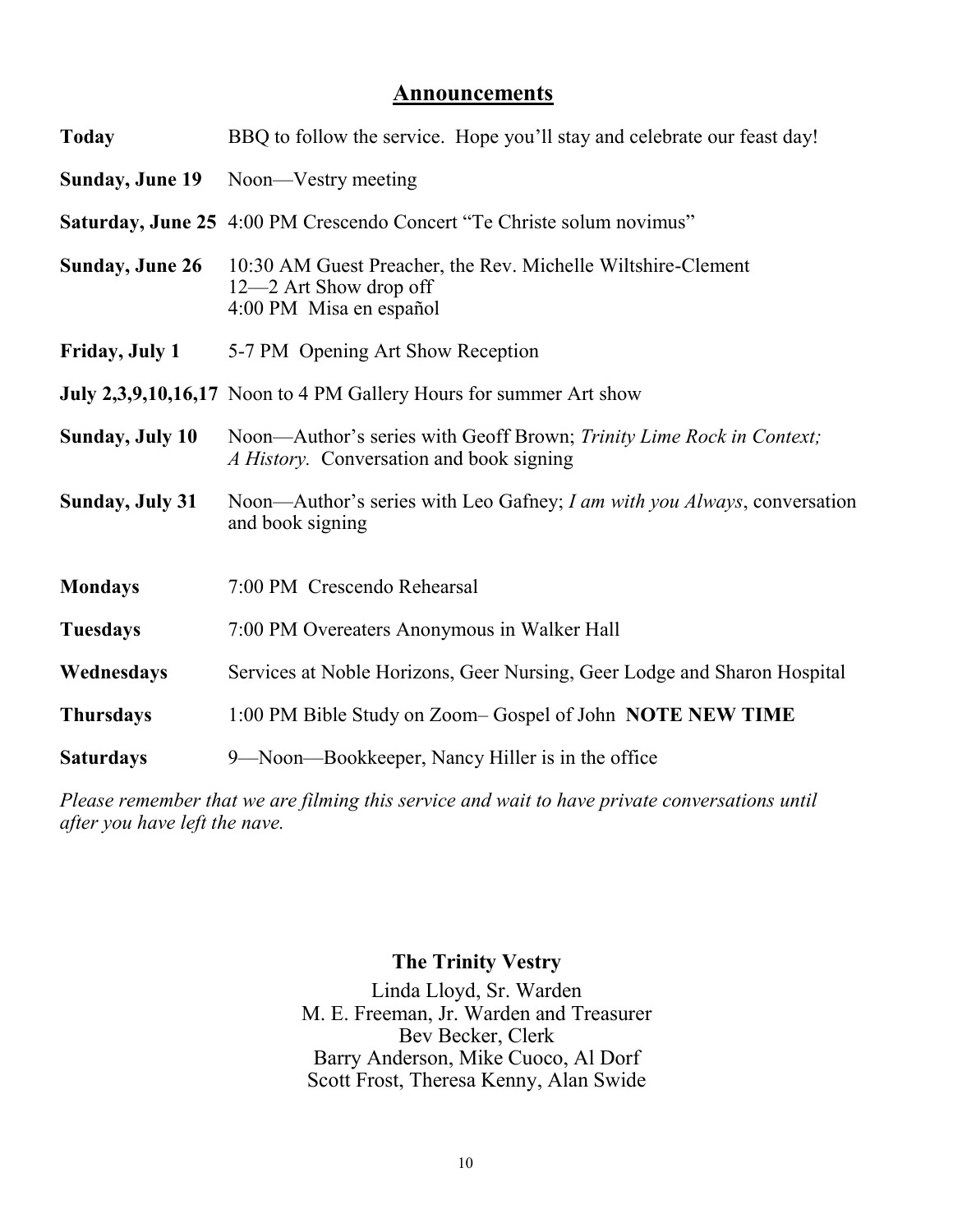#### **Announcements**

| <b>Today</b>           | BBQ to follow the service. Hope you'll stay and celebrate our feast day!                                          |
|------------------------|-------------------------------------------------------------------------------------------------------------------|
| <b>Sunday, June 19</b> | Noon—Vestry meeting                                                                                               |
|                        | Saturday, June 25 4:00 PM Crescendo Concert "Te Christe solum novimus"                                            |
| <b>Sunday, June 26</b> | 10:30 AM Guest Preacher, the Rev. Michelle Wiltshire-Clement<br>12—2 Art Show drop off<br>4:00 PM Misa en español |
| <b>Friday, July 1</b>  | 5-7 PM Opening Art Show Reception                                                                                 |
|                        | July 2,3,9,10,16,17 Noon to 4 PM Gallery Hours for summer Art show                                                |
| <b>Sunday, July 10</b> | Noon—Author's series with Geoff Brown; Trinity Lime Rock in Context;<br>A History. Conversation and book signing  |
| <b>Sunday, July 31</b> | Noon—Author's series with Leo Gafney; I am with you Always, conversation<br>and book signing                      |
| <b>Mondays</b>         | 7:00 PM Crescendo Rehearsal                                                                                       |
| <b>Tuesdays</b>        | 7:00 PM Overeaters Anonymous in Walker Hall                                                                       |
| Wednesdays             | Services at Noble Horizons, Geer Nursing, Geer Lodge and Sharon Hospital                                          |
| <b>Thursdays</b>       | 1:00 PM Bible Study on Zoom-Gospel of John NOTE NEW TIME                                                          |
| <b>Saturdays</b>       | 9—Noon—Bookkeeper, Nancy Hiller is in the office                                                                  |

*Please remember that we are filming this service and wait to have private conversations until after you have left the nave.*

**The Trinity Vestry**

Linda Lloyd, Sr. Warden M. E. Freeman, Jr. Warden and Treasurer Bev Becker, Clerk Barry Anderson, Mike Cuoco, Al Dorf Scott Frost, Theresa Kenny, Alan Swide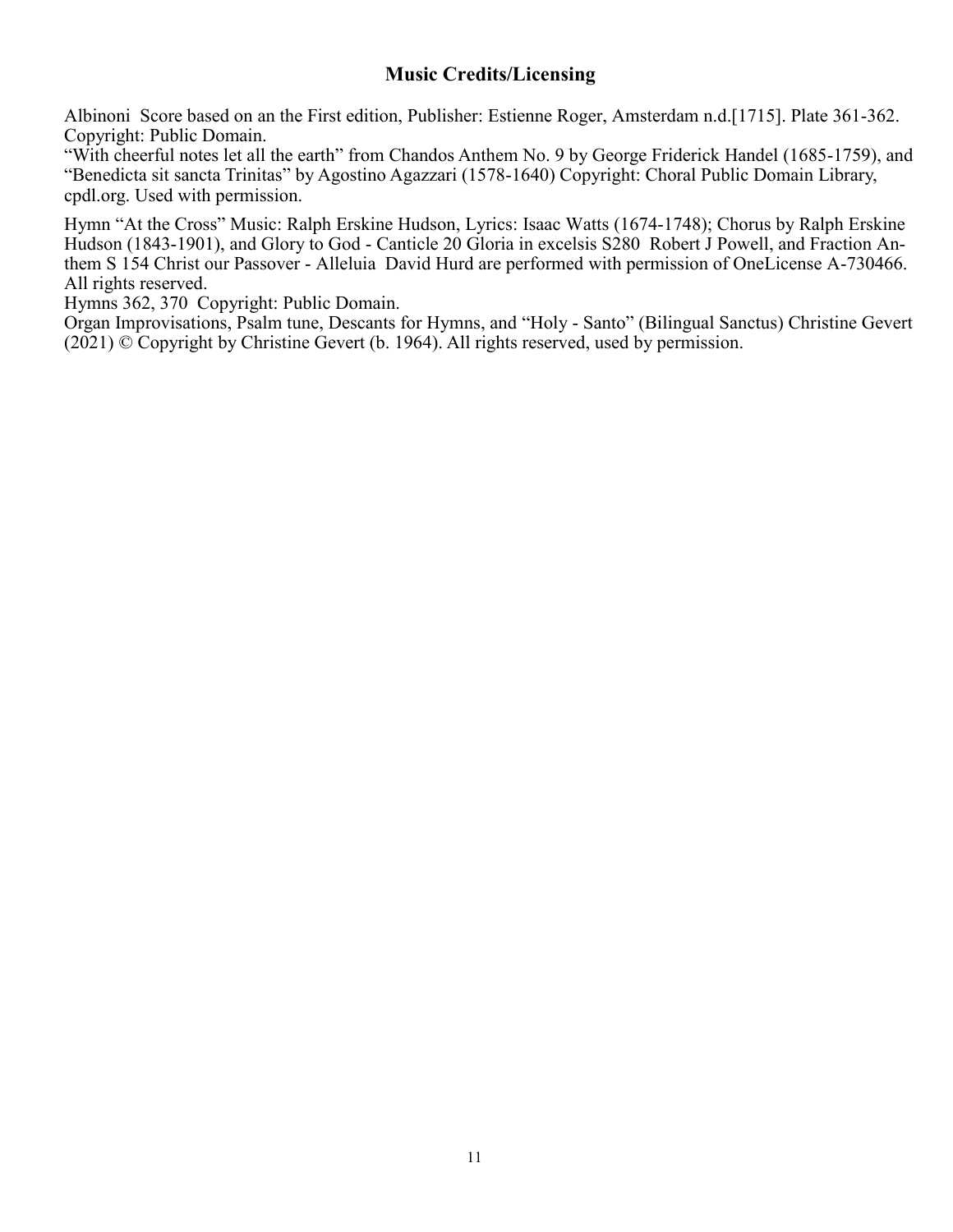#### **Music Credits/Licensing**

Albinoni Score based on an the First edition, Publisher: Estienne Roger, Amsterdam n.d.[1715]. Plate 361-362. Copyright: Public Domain.

"With cheerful notes let all the earth" from Chandos Anthem No. 9 by George Friderick Handel (1685-1759), and "Benedicta sit sancta Trinitas" by Agostino Agazzari (1578-1640) Copyright: Choral Public Domain Library, cpdl.org. Used with permission.

Hymn "At the Cross" Music: Ralph Erskine Hudson, Lyrics: Isaac Watts (1674-1748); Chorus by Ralph Erskine Hudson (1843-1901), and Glory to God - Canticle 20 Gloria in excelsis S280 Robert J Powell, and Fraction Anthem S 154 Christ our Passover - Alleluia David Hurd are performed with permission of OneLicense A-730466. All rights reserved.

Hymns 362, 370 Copyright: Public Domain.

Organ Improvisations, Psalm tune, Descants for Hymns, and "Holy - Santo" (Bilingual Sanctus) Christine Gevert (2021) © Copyright by Christine Gevert (b. 1964). All rights reserved, used by permission.